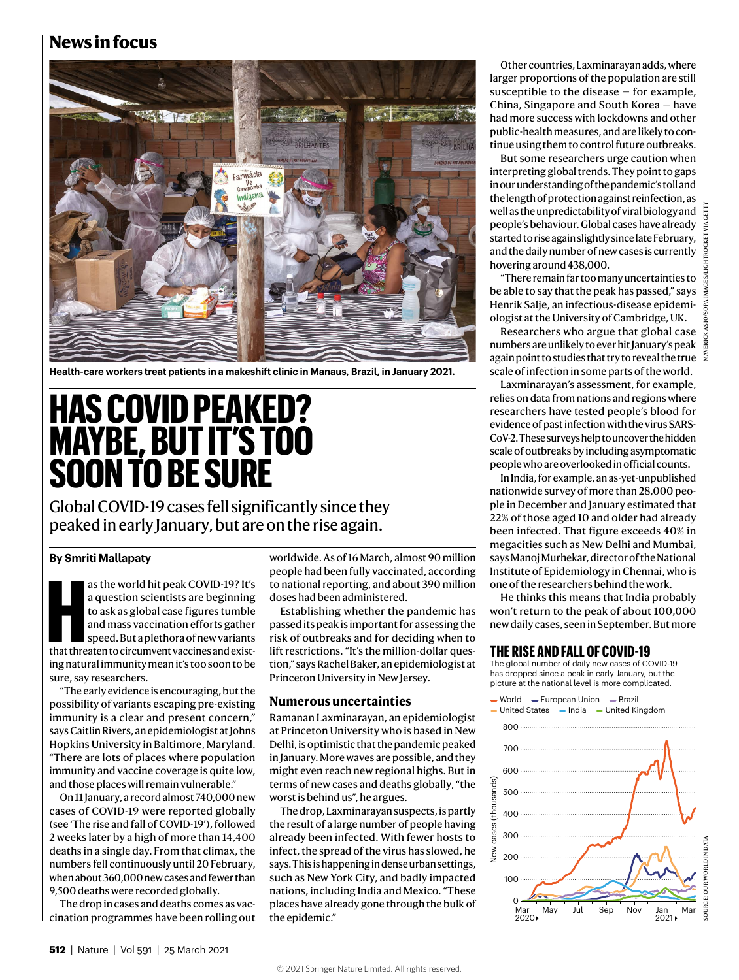## **News in focus**



**Health-care workers treat patients in a makeshift clinic in Manaus, Brazil, in January 2021.**

# **HAS COVID PEAKED? MAYBE, BUT IT'S TOO SOON TO BE SURE**

Global COVID-19 cases fell significantly since they peaked in early January, but are on the rise again.

### **By Smriti Mallapaty**

as the world hit peak COVID-19? It's<br>
a question scientists are beginning<br>
to ask as global case figures tumble<br>
and mass vaccination efforts gather<br>
speed. But a plethora of new variants<br>
that threaten to circumvent vacci as the world hit peak COVID-19? It's a question scientists are beginning to ask as global case figures tumble and mass vaccination efforts gather speed. But a plethora of new variants ing natural immunity mean it's too soon to be sure, say researchers.

"The early evidence is encouraging, but the possibility of variants escaping pre-existing immunity is a clear and present concern," says Caitlin Rivers, an epidemiologist at Johns Hopkins University in Baltimore, Maryland. "There are lots of places where population immunity and vaccine coverage is quite low, and those places will remain vulnerable."

On 11 January, a record almost 740,000 new cases of COVID-19 were reported globally (see 'The rise and fall of COVID-19'), followed 2 weeks later by a high of more than 14,400 deaths in a single day. From that climax, the numbers fell continuously until 20 February, when about 360,000 new cases and fewer than 9,500 deaths were recorded globally.

The drop in cases and deaths comes as vaccination programmes have been rolling out

worldwide. As of 16 March, almost 90 million people had been fully vaccinated, according to national reporting, and about 390 million doses had been administered.

Establishing whether the pandemic has passed its peak is important for assessing the risk of outbreaks and for deciding when to lift restrictions. "It's the million-dollar question," says Rachel Baker, an epidemiologist at Princeton University in New Jersey.

#### **Numerous uncertainties**

Ramanan Laxminarayan, an epidemiologist at Princeton University who is based in New Delhi, is optimistic that the pandemic peaked in January. More waves are possible, and they might even reach new regional highs. But in terms of new cases and deaths globally, "the worst is behind us", he argues.

The drop, Laxminarayan suspects, is partly the result of a large number of people having already been infected. With fewer hosts to infect, the spread of the virus has slowed, he says. This is happening in dense urban settings, such as New York City, and badly impacted nations, including India and Mexico. "These places have already gone through the bulk of the epidemic."

Other countries, Laxminarayan adds, where larger proportions of the population are still susceptible to the disease — for example, China, Singapore and South Korea — have had more success with lockdowns and other public-health measures, and are likely to continue using them to control future outbreaks.

But some researchers urge caution when interpreting global trends. They point to gaps in our understanding of the pandemic's toll and the length of protection against reinfection, as well as the unpredictability of viral biology and  $\frac{1}{2}$ people's behaviour. Global cases have already started to rise again slightly since late February, and the daily number of new cases is currently hovering around 438,000.

"There remain far too many uncertainties to be able to say that the peak has passed," says Henrik Salje, an infectious-disease epidemiologist at the University of Cambridge, UK.

Researchers who argue that global case numbers are unlikely to ever hit January's peak again point to studies that try to reveal the true  $\frac{2}{5}$ scale of infection in some parts of the world.

Laxminarayan's assessment, for example, relies on data from nations and regions where researchers have tested people's blood for evidence of past infection with the virus SARS-CoV-2. These surveys help to uncover the hidden scale of outbreaks by including asymptomatic people who are overlooked in official counts.

In India, for example, an as-yet-unpublished nationwide survey of more than 28,000 people in December and January estimated that 22% of those aged 10 and older had already been infected. That figure exceeds 40% in megacities such as New Delhi and Mumbai, says Manoj Murhekar, director of the National Institute of Epidemiology in Chennai, who is one of the researchers behind the work.

He thinks this means that India probably won't return to the peak of about 100,000 new daily cases, seen in September. But more

### **THE RISE AND FALL OF COVID-19**

The global number of daily new cases of COVID-19 has dropped since a peak in early January, but the picture at the national level is more complicated.

- United States - India - United Kingdom  $-$  World  $-$  European Union  $-$  Brazil